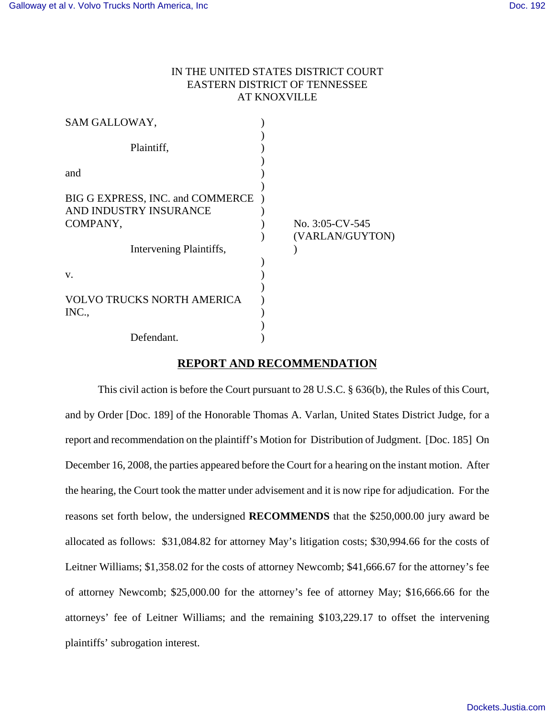# IN THE UNITED STATES DISTRICT COURT EASTERN DISTRICT OF TENNESSEE AT KNOXVILLE

| SAM GALLOWAY,                                                                                     |                                    |
|---------------------------------------------------------------------------------------------------|------------------------------------|
| Plaintiff,                                                                                        |                                    |
| and                                                                                               |                                    |
| BIG G EXPRESS, INC. and COMMERCE<br>AND INDUSTRY INSURANCE<br>COMPANY,<br>Intervening Plaintiffs, | No. 3:05-CV-545<br>(VARLAN/GUYTON) |
| V.<br><b>VOLVO TRUCKS NORTH AMERICA</b>                                                           |                                    |
| INC.,<br>Defendant.                                                                               |                                    |

# **REPORT AND RECOMMENDATION**

This civil action is before the Court pursuant to 28 U.S.C. § 636(b), the Rules of this Court, and by Order [Doc. 189] of the Honorable Thomas A. Varlan, United States District Judge, for a report and recommendation on the plaintiff's Motion for Distribution of Judgment. [Doc. 185] On December 16, 2008, the parties appeared before the Court for a hearing on the instant motion. After the hearing, the Court took the matter under advisement and it is now ripe for adjudication. For the reasons set forth below, the undersigned **RECOMMENDS** that the \$250,000.00 jury award be allocated as follows: \$31,084.82 for attorney May's litigation costs; \$30,994.66 for the costs of Leitner Williams; \$1,358.02 for the costs of attorney Newcomb; \$41,666.67 for the attorney's fee of attorney Newcomb; \$25,000.00 for the attorney's fee of attorney May; \$16,666.66 for the attorneys' fee of Leitner Williams; and the remaining \$103,229.17 to offset the intervening plaintiffs' subrogation interest.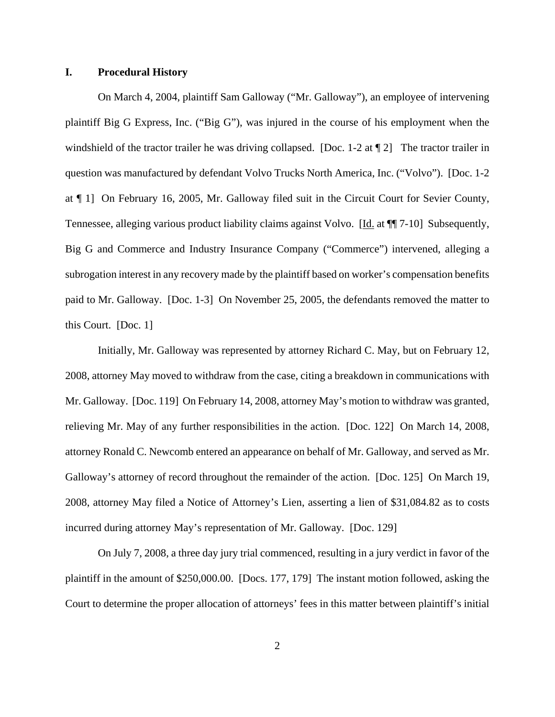### **I. Procedural History**

On March 4, 2004, plaintiff Sam Galloway ("Mr. Galloway"), an employee of intervening plaintiff Big G Express, Inc. ("Big G"), was injured in the course of his employment when the windshield of the tractor trailer he was driving collapsed. [Doc. 1-2 at 12] The tractor trailer in question was manufactured by defendant Volvo Trucks North America, Inc. ("Volvo"). [Doc. 1-2 at ¶ 1] On February 16, 2005, Mr. Galloway filed suit in the Circuit Court for Sevier County, Tennessee, alleging various product liability claims against Volvo. [Id. at  $\P$ ] 7-10] Subsequently, Big G and Commerce and Industry Insurance Company ("Commerce") intervened, alleging a subrogation interest in any recovery made by the plaintiff based on worker's compensation benefits paid to Mr. Galloway. [Doc. 1-3] On November 25, 2005, the defendants removed the matter to this Court. [Doc. 1]

Initially, Mr. Galloway was represented by attorney Richard C. May, but on February 12, 2008, attorney May moved to withdraw from the case, citing a breakdown in communications with Mr. Galloway. [Doc. 119] On February 14, 2008, attorney May's motion to withdraw was granted, relieving Mr. May of any further responsibilities in the action. [Doc. 122] On March 14, 2008, attorney Ronald C. Newcomb entered an appearance on behalf of Mr. Galloway, and served as Mr. Galloway's attorney of record throughout the remainder of the action. [Doc. 125] On March 19, 2008, attorney May filed a Notice of Attorney's Lien, asserting a lien of \$31,084.82 as to costs incurred during attorney May's representation of Mr. Galloway. [Doc. 129]

On July 7, 2008, a three day jury trial commenced, resulting in a jury verdict in favor of the plaintiff in the amount of \$250,000.00. [Docs. 177, 179] The instant motion followed, asking the Court to determine the proper allocation of attorneys' fees in this matter between plaintiff's initial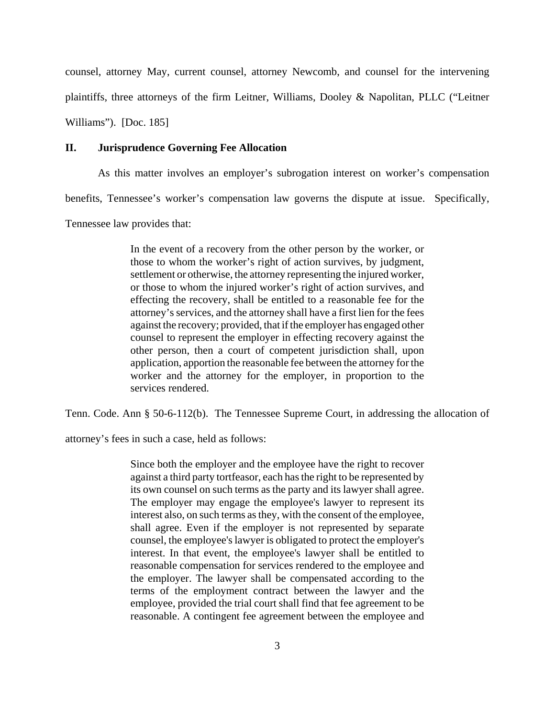counsel, attorney May, current counsel, attorney Newcomb, and counsel for the intervening plaintiffs, three attorneys of the firm Leitner, Williams, Dooley & Napolitan, PLLC ("Leitner Williams"). [Doc. 185]

### **II. Jurisprudence Governing Fee Allocation**

As this matter involves an employer's subrogation interest on worker's compensation

benefits, Tennessee's worker's compensation law governs the dispute at issue. Specifically,

Tennessee law provides that:

In the event of a recovery from the other person by the worker, or those to whom the worker's right of action survives, by judgment, settlement or otherwise, the attorney representing the injured worker, or those to whom the injured worker's right of action survives, and effecting the recovery, shall be entitled to a reasonable fee for the attorney's services, and the attorney shall have a first lien for the fees against the recovery; provided, that if the employer has engaged other counsel to represent the employer in effecting recovery against the other person, then a court of competent jurisdiction shall, upon application, apportion the reasonable fee between the attorney for the worker and the attorney for the employer, in proportion to the services rendered.

Tenn. Code. Ann § 50-6-112(b). The Tennessee Supreme Court, in addressing the allocation of

attorney's fees in such a case, held as follows:

Since both the employer and the employee have the right to recover against a third party tortfeasor, each has the right to be represented by its own counsel on such terms as the party and its lawyer shall agree. The employer may engage the employee's lawyer to represent its interest also, on such terms as they, with the consent of the employee, shall agree. Even if the employer is not represented by separate counsel, the employee's lawyer is obligated to protect the employer's interest. In that event, the employee's lawyer shall be entitled to reasonable compensation for services rendered to the employee and the employer. The lawyer shall be compensated according to the terms of the employment contract between the lawyer and the employee, provided the trial court shall find that fee agreement to be reasonable. A contingent fee agreement between the employee and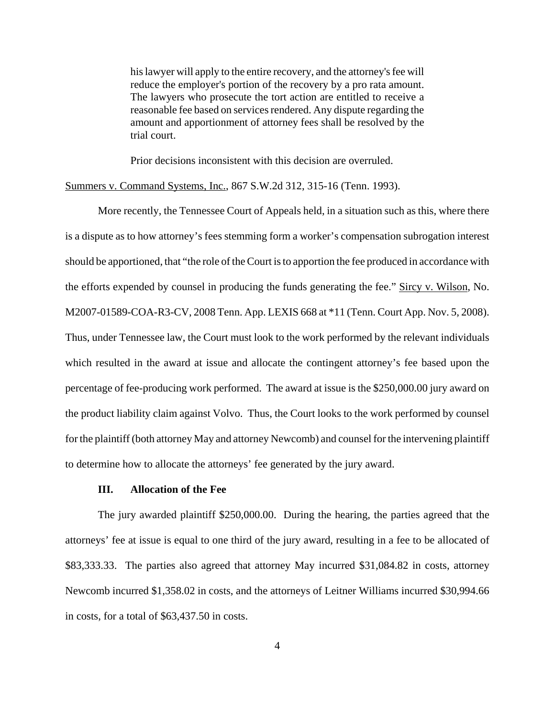his lawyer will apply to the entire recovery, and the attorney's fee will reduce the employer's portion of the recovery by a pro rata amount. The lawyers who prosecute the tort action are entitled to receive a reasonable fee based on services rendered. Any dispute regarding the amount and apportionment of attorney fees shall be resolved by the trial court.

Prior decisions inconsistent with this decision are overruled.

### Summers v. Command Systems, Inc., 867 S.W.2d 312, 315-16 (Tenn. 1993).

More recently, the Tennessee Court of Appeals held, in a situation such as this, where there is a dispute as to how attorney's fees stemming form a worker's compensation subrogation interest should be apportioned, that "the role of the Court is to apportion the fee produced in accordance with the efforts expended by counsel in producing the funds generating the fee." Sircy v. Wilson, No. M2007-01589-COA-R3-CV, 2008 Tenn. App. LEXIS 668 at \*11 (Tenn. Court App. Nov. 5, 2008). Thus, under Tennessee law, the Court must look to the work performed by the relevant individuals which resulted in the award at issue and allocate the contingent attorney's fee based upon the percentage of fee-producing work performed. The award at issue is the \$250,000.00 jury award on the product liability claim against Volvo. Thus, the Court looks to the work performed by counsel for the plaintiff (both attorney May and attorney Newcomb) and counsel for the intervening plaintiff to determine how to allocate the attorneys' fee generated by the jury award.

### **III. Allocation of the Fee**

The jury awarded plaintiff \$250,000.00. During the hearing, the parties agreed that the attorneys' fee at issue is equal to one third of the jury award, resulting in a fee to be allocated of \$83,333.33. The parties also agreed that attorney May incurred \$31,084.82 in costs, attorney Newcomb incurred \$1,358.02 in costs, and the attorneys of Leitner Williams incurred \$30,994.66 in costs, for a total of \$63,437.50 in costs.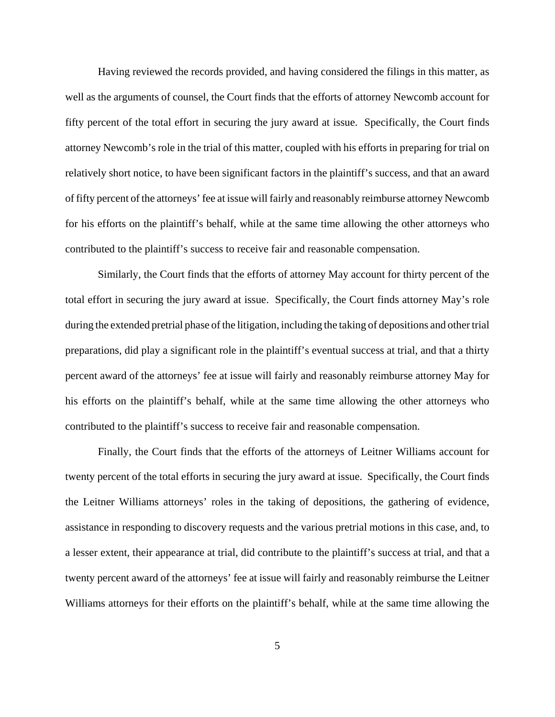Having reviewed the records provided, and having considered the filings in this matter, as well as the arguments of counsel, the Court finds that the efforts of attorney Newcomb account for fifty percent of the total effort in securing the jury award at issue. Specifically, the Court finds attorney Newcomb's role in the trial of this matter, coupled with his efforts in preparing for trial on relatively short notice, to have been significant factors in the plaintiff's success, and that an award of fifty percent of the attorneys' fee at issue will fairly and reasonably reimburse attorney Newcomb for his efforts on the plaintiff's behalf, while at the same time allowing the other attorneys who contributed to the plaintiff's success to receive fair and reasonable compensation.

Similarly, the Court finds that the efforts of attorney May account for thirty percent of the total effort in securing the jury award at issue. Specifically, the Court finds attorney May's role during the extended pretrial phase of the litigation, including the taking of depositions and other trial preparations, did play a significant role in the plaintiff's eventual success at trial, and that a thirty percent award of the attorneys' fee at issue will fairly and reasonably reimburse attorney May for his efforts on the plaintiff's behalf, while at the same time allowing the other attorneys who contributed to the plaintiff's success to receive fair and reasonable compensation.

Finally, the Court finds that the efforts of the attorneys of Leitner Williams account for twenty percent of the total efforts in securing the jury award at issue. Specifically, the Court finds the Leitner Williams attorneys' roles in the taking of depositions, the gathering of evidence, assistance in responding to discovery requests and the various pretrial motions in this case, and, to a lesser extent, their appearance at trial, did contribute to the plaintiff's success at trial, and that a twenty percent award of the attorneys' fee at issue will fairly and reasonably reimburse the Leitner Williams attorneys for their efforts on the plaintiff's behalf, while at the same time allowing the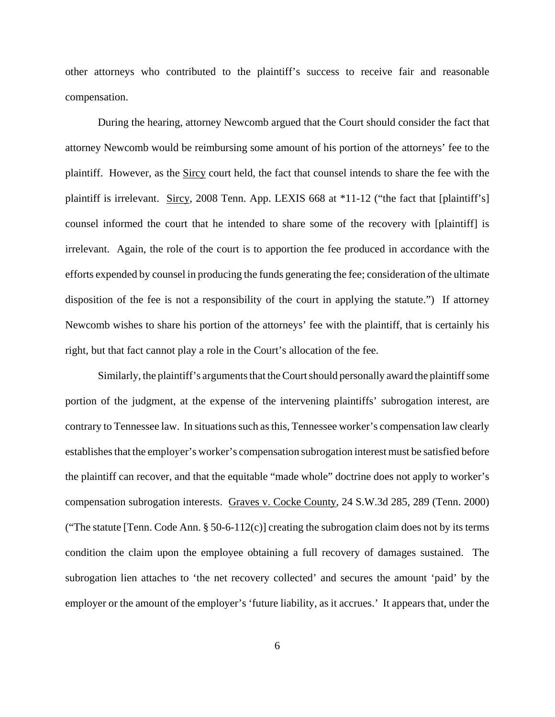other attorneys who contributed to the plaintiff's success to receive fair and reasonable compensation.

During the hearing, attorney Newcomb argued that the Court should consider the fact that attorney Newcomb would be reimbursing some amount of his portion of the attorneys' fee to the plaintiff. However, as the Sircy court held, the fact that counsel intends to share the fee with the plaintiff is irrelevant. Sircy, 2008 Tenn. App. LEXIS 668 at \*11-12 ("the fact that [plaintiff's] counsel informed the court that he intended to share some of the recovery with [plaintiff] is irrelevant. Again, the role of the court is to apportion the fee produced in accordance with the efforts expended by counsel in producing the funds generating the fee; consideration of the ultimate disposition of the fee is not a responsibility of the court in applying the statute.") If attorney Newcomb wishes to share his portion of the attorneys' fee with the plaintiff, that is certainly his right, but that fact cannot play a role in the Court's allocation of the fee.

Similarly, the plaintiff's arguments that the Court should personally award the plaintiff some portion of the judgment, at the expense of the intervening plaintiffs' subrogation interest, are contrary to Tennessee law. In situations such as this, Tennessee worker's compensation law clearly establishes that the employer's worker's compensation subrogation interest must be satisfied before the plaintiff can recover, and that the equitable "made whole" doctrine does not apply to worker's compensation subrogation interests. Graves v. Cocke County, 24 S.W.3d 285, 289 (Tenn. 2000) ("The statute [Tenn. Code Ann.  $\S 50-6-112(c)$ ] creating the subrogation claim does not by its terms condition the claim upon the employee obtaining a full recovery of damages sustained. The subrogation lien attaches to 'the net recovery collected' and secures the amount 'paid' by the employer or the amount of the employer's 'future liability, as it accrues.' It appears that, under the